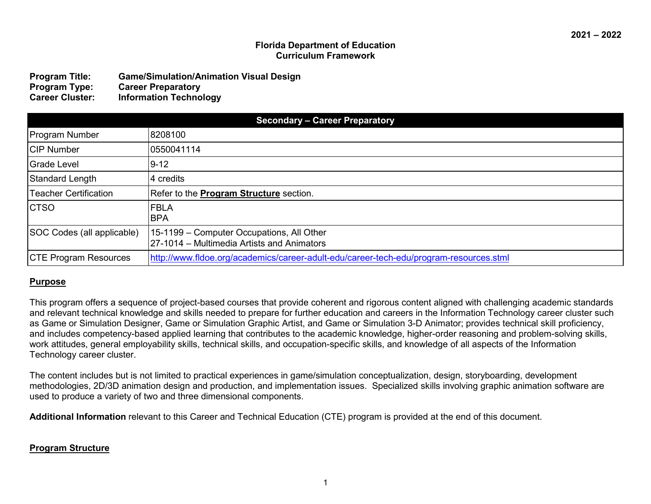### **Florida Department of Education Curriculum Framework**

| <b>Program Title:</b>  | <b>Game/Simulation/Animation Visual Design</b> |
|------------------------|------------------------------------------------|
| <b>Program Type:</b>   | <b>Career Preparatory</b>                      |
| <b>Career Cluster:</b> | <b>Information Technology</b>                  |

|                              | <b>Secondary - Career Preparatory</b>                                                   |
|------------------------------|-----------------------------------------------------------------------------------------|
| <b>Program Number</b>        | 8208100                                                                                 |
| <b>CIP Number</b>            | 10550041114                                                                             |
| Grade Level                  | $ 9-12 $                                                                                |
| Standard Length              | 14 credits                                                                              |
| Teacher Certification        | Refer to the <b>Program Structure</b> section.                                          |
| <b>CTSO</b>                  | <b>FBLA</b><br><b>BPA</b>                                                               |
| SOC Codes (all applicable)   | 15-1199 – Computer Occupations, All Other<br>27-1014 – Multimedia Artists and Animators |
| <b>CTE Program Resources</b> | http://www.fldoe.org/academics/career-adult-edu/career-tech-edu/program-resources.stml  |

# **Purpose**

This program offers a sequence of project-based courses that provide coherent and rigorous content aligned with challenging academic standards and relevant technical knowledge and skills needed to prepare for further education and careers in the Information Technology career cluster such as Game or Simulation Designer, Game or Simulation Graphic Artist, and Game or Simulation 3-D Animator; provides technical skill proficiency, and includes competency-based applied learning that contributes to the academic knowledge, higher-order reasoning and problem-solving skills, work attitudes, general employability skills, technical skills, and occupation-specific skills, and knowledge of all aspects of the Information Technology career cluster.

The content includes but is not limited to practical experiences in game/simulation conceptualization, design, storyboarding, development methodologies, 2D/3D animation design and production, and implementation issues. Specialized skills involving graphic animation software are used to produce a variety of two and three dimensional components.

**Additional Information** relevant to this Career and Technical Education (CTE) program is provided at the end of this document.

### **Program Structure**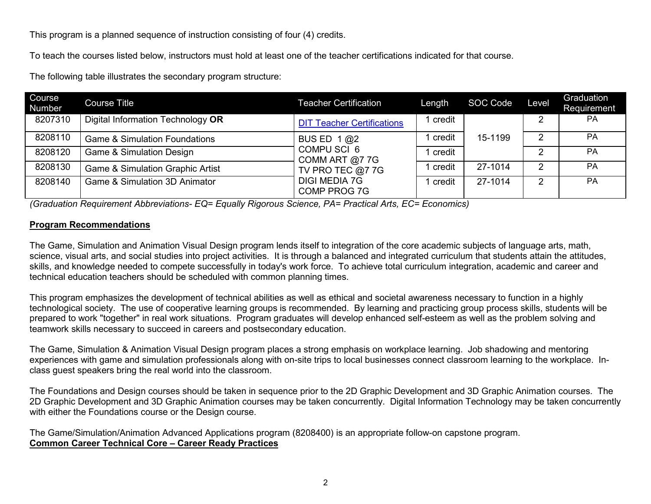This program is a planned sequence of instruction consisting of four (4) credits.

To teach the courses listed below, instructors must hold at least one of the teacher certifications indicated for that course.

The following table illustrates the secondary program structure:

| Course<br>Number | <b>Course Title</b>                         | Teacher Certification                | Length   | SOC Code | Level | Graduation<br>Requirement |
|------------------|---------------------------------------------|--------------------------------------|----------|----------|-------|---------------------------|
| 8207310          | Digital Information Technology OR           | <b>DIT Teacher Certifications</b>    | 1 credit |          | 2     | PA                        |
| 8208110          | <b>Game &amp; Simulation Foundations</b>    | BUS ED $1@2$                         | credit   | 15-1199  | ာ     | <b>PA</b>                 |
| 8208120          | <b>Game &amp; Simulation Design</b>         | COMPU SCI 6<br>COMM ART @7 7G        | credit   |          | ົ     | <b>PA</b>                 |
| 8208130          | <b>Game &amp; Simulation Graphic Artist</b> | TV PRO TEC @7 7G                     | credit   | 27-1014  | 2     | <b>PA</b>                 |
| 8208140          | <b>Game &amp; Simulation 3D Animator</b>    | <b>DIGI MEDIA 7G</b><br>COMP PROG 7G | credit   | 27-1014  | 2     | <b>PA</b>                 |

*(Graduation Requirement Abbreviations- EQ= Equally Rigorous Science, PA= Practical Arts, EC= Economics)*

### **Program Recommendations**

The Game, Simulation and Animation Visual Design program lends itself to integration of the core academic subjects of language arts, math, science, visual arts, and social studies into project activities. It is through a balanced and integrated curriculum that students attain the attitudes, skills, and knowledge needed to compete successfully in today's work force. To achieve total curriculum integration, academic and career and technical education teachers should be scheduled with common planning times.

This program emphasizes the development of technical abilities as well as ethical and societal awareness necessary to function in a highly technological society. The use of cooperative learning groups is recommended. By learning and practicing group process skills, students will be prepared to work "together" in real work situations. Program graduates will develop enhanced self-esteem as well as the problem solving and teamwork skills necessary to succeed in careers and postsecondary education.

The Game, Simulation & Animation Visual Design program places a strong emphasis on workplace learning. Job shadowing and mentoring experiences with game and simulation professionals along with on-site trips to local businesses connect classroom learning to the workplace. Inclass guest speakers bring the real world into the classroom.

The Foundations and Design courses should be taken in sequence prior to the 2D Graphic Development and 3D Graphic Animation courses. The 2D Graphic Development and 3D Graphic Animation courses may be taken concurrently. Digital Information Technology may be taken concurrently with either the Foundations course or the Design course.

The Game/Simulation/Animation Advanced Applications program (8208400) is an appropriate follow-on capstone program. **Common Career Technical Core – Career Ready Practices**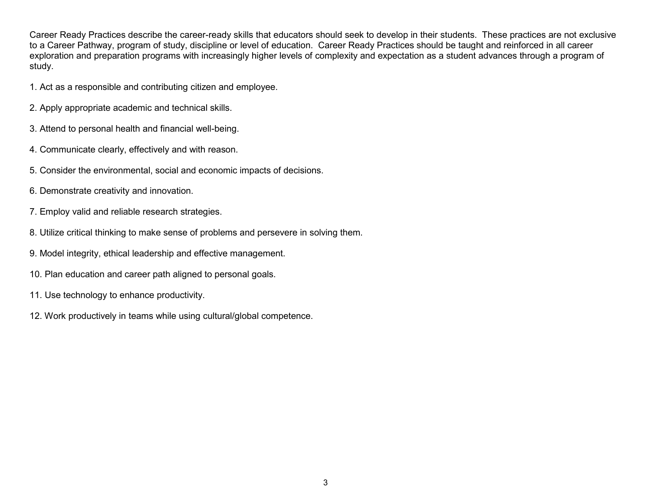Career Ready Practices describe the career-ready skills that educators should seek to develop in their students. These practices are not exclusive to a Career Pathway, program of study, discipline or level of education. Career Ready Practices should be taught and reinforced in all career exploration and preparation programs with increasingly higher levels of complexity and expectation as a student advances through a program of study.

- 1. Act as a responsible and contributing citizen and employee.
- 2. Apply appropriate academic and technical skills.
- 3. Attend to personal health and financial well-being.
- 4. Communicate clearly, effectively and with reason.
- 5. Consider the environmental, social and economic impacts of decisions.
- 6. Demonstrate creativity and innovation.
- 7. Employ valid and reliable research strategies.
- 8. Utilize critical thinking to make sense of problems and persevere in solving them.
- 9. Model integrity, ethical leadership and effective management.
- 10. Plan education and career path aligned to personal goals.
- 11. Use technology to enhance productivity.
- 12. Work productively in teams while using cultural/global competence.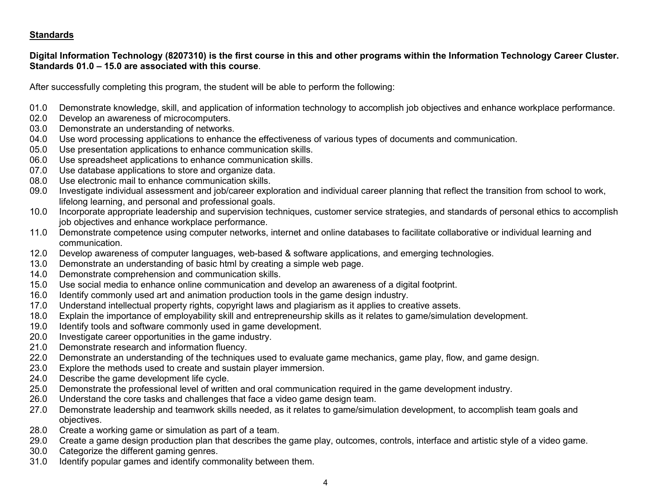# **Standards**

### **Digital Information Technology (8207310) is the first course in this and other programs within the Information Technology Career Cluster. Standards 01.0 – 15.0 are associated with this course**.

After successfully completing this program, the student will be able to perform the following:

- 01.0 Demonstrate knowledge, skill, and application of information technology to accomplish job objectives and enhance workplace performance.
- 02.0 Develop an awareness of microcomputers.
- 03.0 Demonstrate an understanding of networks.
- 04.0 Use word processing applications to enhance the effectiveness of various types of documents and communication.
- 05.0 Use presentation applications to enhance communication skills.
- 06.0 Use spreadsheet applications to enhance communication skills.
- 07.0 Use database applications to store and organize data.
- 08.0 Use electronic mail to enhance communication skills.
- 09.0 Investigate individual assessment and job/career exploration and individual career planning that reflect the transition from school to work, lifelong learning, and personal and professional goals.
- 10.0 Incorporate appropriate leadership and supervision techniques, customer service strategies, and standards of personal ethics to accomplish job objectives and enhance workplace performance.
- 11.0 Demonstrate competence using computer networks, internet and online databases to facilitate collaborative or individual learning and communication.
- 12.0 Develop awareness of computer languages, web-based & software applications, and emerging technologies.
- 13.0 Demonstrate an understanding of basic html by creating a simple web page.
- 14.0 Demonstrate comprehension and communication skills.
- 15.0 Use social media to enhance online communication and develop an awareness of a digital footprint.
- 16.0 Identify commonly used art and animation production tools in the game design industry.
- 17.0 Understand intellectual property rights, copyright laws and plagiarism as it applies to creative assets.
- 18.0 Explain the importance of employability skill and entrepreneurship skills as it relates to game/simulation development.
- 19.0 Identify tools and software commonly used in game development.
- 20.0 Investigate career opportunities in the game industry.
- 21.0 Demonstrate research and information fluency.
- 22.0 Demonstrate an understanding of the techniques used to evaluate game mechanics, game play, flow, and game design.
- 23.0 Explore the methods used to create and sustain player immersion.
- 24.0 Describe the game development life cycle.
- 25.0 Demonstrate the professional level of written and oral communication required in the game development industry.<br>26.0 Understand the core tasks and challenges that face a video game design team.
- 26.0 Understand the core tasks and challenges that face a video game design team.<br>27.0 Demonstrate leadership and teamwork skills needed, as it relates to game/simu
- Demonstrate leadership and teamwork skills needed, as it relates to game/simulation development, to accomplish team goals and objectives.
- 28.0 Create a working game or simulation as part of a team.
- 29.0 Create a game design production plan that describes the game play, outcomes, controls, interface and artistic style of a video game.
- 30.0 Categorize the different gaming genres.
- 31.0 Identify popular games and identify commonality between them.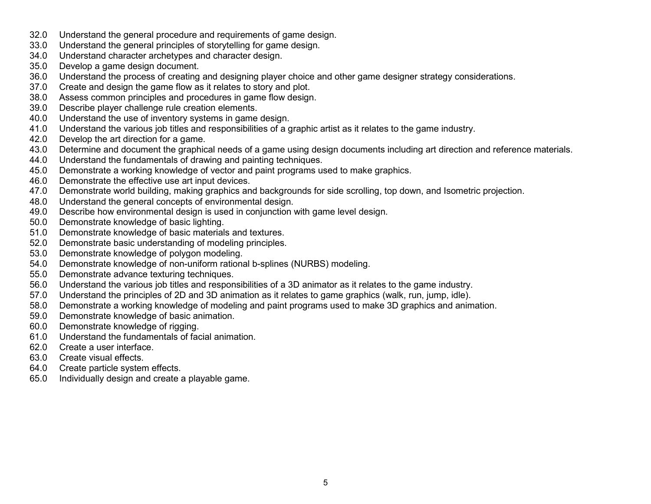- 32.0 Understand the general procedure and requirements of game design.
- 33.0 Understand the general principles of storytelling for game design.
- 34.0 Understand character archetypes and character design.
- 35.0 Develop a game design document.
- 36.0 Understand the process of creating and designing player choice and other game designer strategy considerations.<br>37.0 Create and design the game flow as it relates to story and plot.
- 37.0 Create and design the game flow as it relates to story and plot.<br>38.0 Assess common principles and procedures in game flow design
- 38.0 Assess common principles and procedures in game flow design.
- Describe player challenge rule creation elements.
- 40.0 Understand the use of inventory systems in game design.<br>41.0 Understand the various job titles and responsibilities of a c
- 41.0 Understand the various job titles and responsibilities of a graphic artist as it relates to the game industry.<br>42.0 Develop the art direction for a game.
- Develop the art direction for a game.
- 43.0 Determine and document the graphical needs of a game using design documents including art direction and reference materials.
- 44.0 Understand the fundamentals of drawing and painting techniques.
- 45.0 Demonstrate a working knowledge of vector and paint programs used to make graphics.
- 46.0 Demonstrate the effective use art input devices.
- 47.0 Demonstrate world building, making graphics and backgrounds for side scrolling, top down, and Isometric projection.
- 48.0 Understand the general concepts of environmental design.
- 49.0 Describe how environmental design is used in conjunction with game level design.
- 50.0 Demonstrate knowledge of basic lighting.
- 51.0 Demonstrate knowledge of basic materials and textures.<br>52.0 Demonstrate basic understanding of modeling principles.
- 52.0 Demonstrate basic understanding of modeling principles.<br>53.0 Demonstrate knowledge of polygon modeling.
- Demonstrate knowledge of polygon modeling.
- 54.0 Demonstrate knowledge of non-uniform rational b-splines (NURBS) modeling.
- 55.0 Demonstrate advance texturing techniques.
- 56.0 Understand the various job titles and responsibilities of a 3D animator as it relates to the game industry.
- 57.0 Understand the principles of 2D and 3D animation as it relates to game graphics (walk, run, jump, idle).
- 58.0 Demonstrate a working knowledge of modeling and paint programs used to make 3D graphics and animation.
- 59.0 Demonstrate knowledge of basic animation.
- 60.0 Demonstrate knowledge of rigging.
- 61.0 Understand the fundamentals of facial animation.
- 62.0 Create a user interface.
- 63.0 Create visual effects.
- 64.0 Create particle system effects.
- 65.0 Individually design and create a playable game.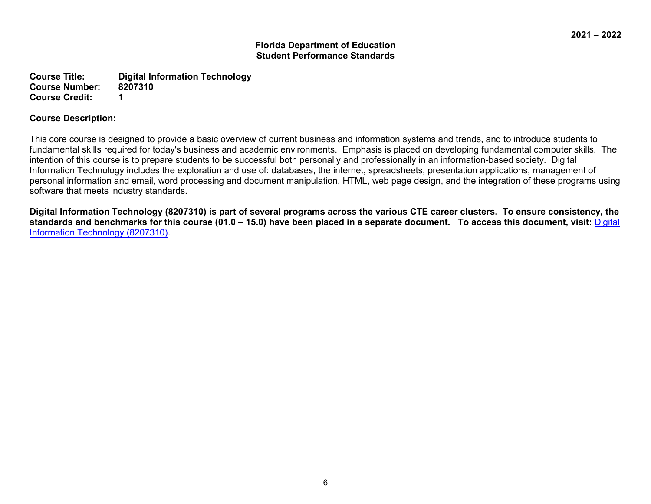**Course Title: Digital Information Technology Course Number: Course Credit: 1**

### **Course Description:**

This core course is designed to provide a basic overview of current business and information systems and trends, and to introduce students to fundamental skills required for today's business and academic environments. Emphasis is placed on developing fundamental computer skills. The intention of this course is to prepare students to be successful both personally and professionally in an information-based society. Digital Information Technology includes the exploration and use of: databases, the internet, spreadsheets, presentation applications, management of personal information and email, word processing and document manipulation, HTML, web page design, and the integration of these programs using software that meets industry standards.

**Digital Information Technology (8207310) is part of several programs across the various CTE career clusters. To ensure consistency, the standards and benchmarks for this course (01.0 – 15.0) have been placed in a separate document. To access this document, visit:** [Digital](http://www.fldoe.org/core/fileparse.php/9943/urlt/DIT.rtf)  [Information Technology \(8207310\).](http://www.fldoe.org/core/fileparse.php/9943/urlt/DIT.rtf)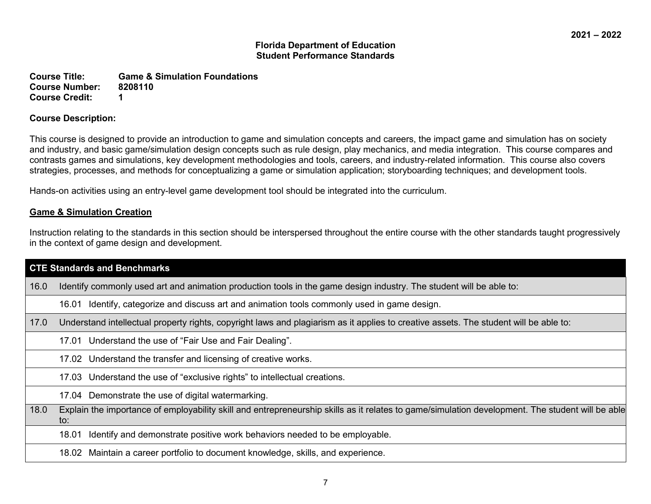**Course Title: Game & Simulation Foundations Course Number: Course Credit: 1**

### **Course Description:**

This course is designed to provide an introduction to game and simulation concepts and careers, the impact game and simulation has on society and industry, and basic game/simulation design concepts such as rule design, play mechanics, and media integration. This course compares and contrasts games and simulations, key development methodologies and tools, careers, and industry-related information. This course also covers strategies, processes, and methods for conceptualizing a game or simulation application; storyboarding techniques; and development tools.

Hands-on activities using an entry-level game development tool should be integrated into the curriculum.

# **Game & Simulation Creation**

Instruction relating to the standards in this section should be interspersed throughout the entire course with the other standards taught progressively in the context of game design and development.

|      | <b>CTE Standards and Benchmarks</b>                                                                                                                     |
|------|---------------------------------------------------------------------------------------------------------------------------------------------------------|
| 16.0 | Identify commonly used art and animation production tools in the game design industry. The student will be able to:                                     |
|      | Identify, categorize and discuss art and animation tools commonly used in game design.<br>16.01                                                         |
| 17.0 | Understand intellectual property rights, copyright laws and plagiarism as it applies to creative assets. The student will be able to:                   |
|      | 17.01 Understand the use of "Fair Use and Fair Dealing".                                                                                                |
|      | 17.02 Understand the transfer and licensing of creative works.                                                                                          |
|      | 17.03 Understand the use of "exclusive rights" to intellectual creations.                                                                               |
|      | 17.04 Demonstrate the use of digital watermarking.                                                                                                      |
| 18.0 | Explain the importance of employability skill and entrepreneurship skills as it relates to game/simulation development. The student will be able<br>to: |
|      | Identify and demonstrate positive work behaviors needed to be employable.<br>18.01                                                                      |
|      | 18.02 Maintain a career portfolio to document knowledge, skills, and experience.                                                                        |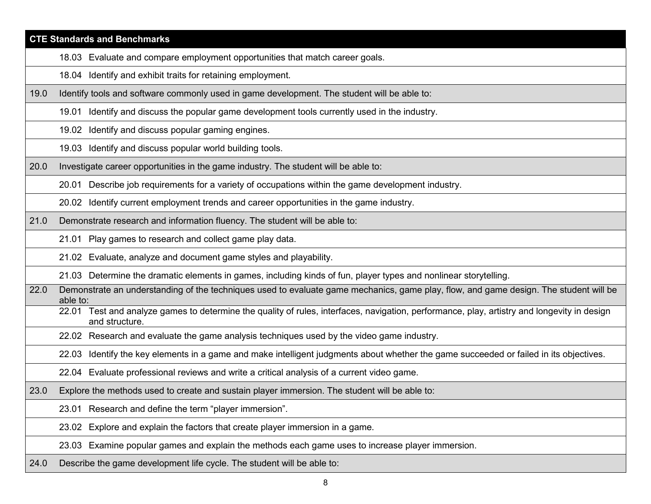|      | <b>CTE Standards and Benchmarks</b>                                                                                                                           |
|------|---------------------------------------------------------------------------------------------------------------------------------------------------------------|
|      | 18.03 Evaluate and compare employment opportunities that match career goals.                                                                                  |
|      | 18.04 Identify and exhibit traits for retaining employment.                                                                                                   |
| 19.0 | Identify tools and software commonly used in game development. The student will be able to:                                                                   |
|      | 19.01 Identify and discuss the popular game development tools currently used in the industry.                                                                 |
|      | 19.02 Identify and discuss popular gaming engines.                                                                                                            |
|      | 19.03 Identify and discuss popular world building tools.                                                                                                      |
| 20.0 | Investigate career opportunities in the game industry. The student will be able to:                                                                           |
|      | 20.01 Describe job requirements for a variety of occupations within the game development industry.                                                            |
|      | 20.02 Identify current employment trends and career opportunities in the game industry.                                                                       |
| 21.0 | Demonstrate research and information fluency. The student will be able to:                                                                                    |
|      | 21.01 Play games to research and collect game play data.                                                                                                      |
|      | 21.02 Evaluate, analyze and document game styles and playability.                                                                                             |
|      | 21.03 Determine the dramatic elements in games, including kinds of fun, player types and nonlinear storytelling.                                              |
| 22.0 | Demonstrate an understanding of the techniques used to evaluate game mechanics, game play, flow, and game design. The student will be<br>able to:             |
|      | 22.01 Test and analyze games to determine the quality of rules, interfaces, navigation, performance, play, artistry and longevity in design<br>and structure. |
|      | 22.02 Research and evaluate the game analysis techniques used by the video game industry.                                                                     |
|      | 22.03 Identify the key elements in a game and make intelligent judgments about whether the game succeeded or failed in its objectives.                        |
|      | 22.04 Evaluate professional reviews and write a critical analysis of a current video game.                                                                    |
| 23.0 | Explore the methods used to create and sustain player immersion. The student will be able to:                                                                 |
|      | 23.01 Research and define the term "player immersion".                                                                                                        |
|      | 23.02 Explore and explain the factors that create player immersion in a game.                                                                                 |
|      | 23.03 Examine popular games and explain the methods each game uses to increase player immersion.                                                              |
| 24.0 | Describe the game development life cycle. The student will be able to:                                                                                        |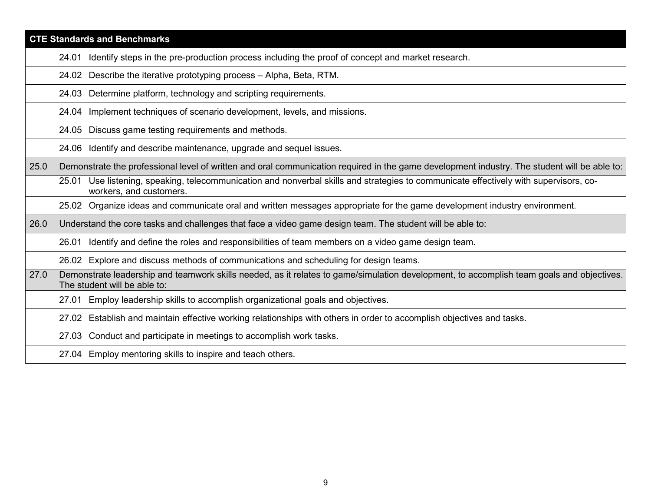|      | <b>CTE Standards and Benchmarks</b>                                                                                                                                       |
|------|---------------------------------------------------------------------------------------------------------------------------------------------------------------------------|
|      | Identify steps in the pre-production process including the proof of concept and market research.<br>24.01                                                                 |
|      | Describe the iterative prototyping process - Alpha, Beta, RTM.<br>24.02                                                                                                   |
|      | Determine platform, technology and scripting requirements.<br>24.03                                                                                                       |
|      | 24.04 Implement techniques of scenario development, levels, and missions.                                                                                                 |
|      | Discuss game testing requirements and methods.<br>24.05                                                                                                                   |
|      | 24.06 Identify and describe maintenance, upgrade and sequel issues.                                                                                                       |
| 25.0 | Demonstrate the professional level of written and oral communication required in the game development industry. The student will be able to:                              |
|      | Use listening, speaking, telecommunication and nonverbal skills and strategies to communicate effectively with supervisors, co-<br>25.01<br>workers, and customers.       |
|      | 25.02 Organize ideas and communicate oral and written messages appropriate for the game development industry environment.                                                 |
| 26.0 | Understand the core tasks and challenges that face a video game design team. The student will be able to:                                                                 |
|      | Identify and define the roles and responsibilities of team members on a video game design team.<br>26.01                                                                  |
|      | 26.02 Explore and discuss methods of communications and scheduling for design teams.                                                                                      |
| 27.0 | Demonstrate leadership and teamwork skills needed, as it relates to game/simulation development, to accomplish team goals and objectives.<br>The student will be able to: |
|      | 27.01 Employ leadership skills to accomplish organizational goals and objectives.                                                                                         |
|      | 27.02 Establish and maintain effective working relationships with others in order to accomplish objectives and tasks.                                                     |
|      | Conduct and participate in meetings to accomplish work tasks.<br>27.03                                                                                                    |
|      | 27.04 Employ mentoring skills to inspire and teach others.                                                                                                                |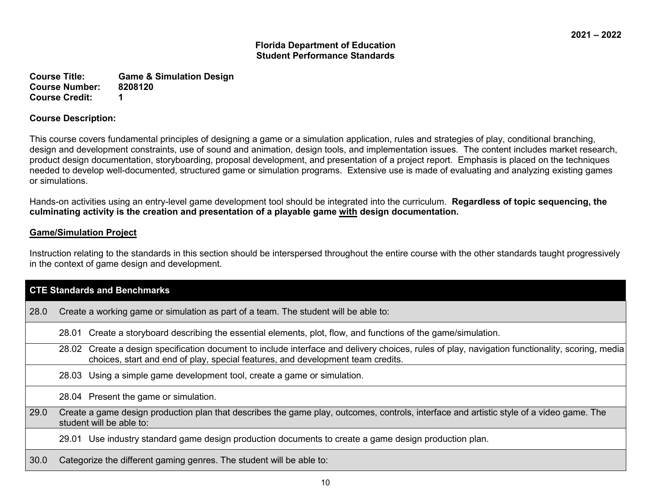**Course Title: Game & Simulation Design Course Number: Course Credit: 1**

### **Course Description:**

This course covers fundamental principles of designing a game or a simulation application, rules and strategies of play, conditional branching, design and development constraints, use of sound and animation, design tools, and implementation issues. The content includes market research, product design documentation, storyboarding, proposal development, and presentation of a project report. Emphasis is placed on the techniques needed to develop well-documented, structured game or simulation programs. Extensive use is made of evaluating and analyzing existing games or simulations.

Hands-on activities using an entry-level game development tool should be integrated into the curriculum. **Regardless of topic sequencing, the culminating activity is the creation and presentation of a playable game with design documentation.**

# **Game/Simulation Project**

Instruction relating to the standards in this section should be interspersed throughout the entire course with the other standards taught progressively in the context of game design and development.

|      | <b>CTE Standards and Benchmarks</b>                                                                                                                                                                                                   |
|------|---------------------------------------------------------------------------------------------------------------------------------------------------------------------------------------------------------------------------------------|
| 28.0 | Create a working game or simulation as part of a team. The student will be able to:                                                                                                                                                   |
|      | Create a storyboard describing the essential elements, plot, flow, and functions of the game/simulation.<br>28.01                                                                                                                     |
|      | Create a design specification document to include interface and delivery choices, rules of play, navigation functionality, scoring, media<br>28.02<br>choices, start and end of play, special features, and development team credits. |
|      | Using a simple game development tool, create a game or simulation.<br>28.03                                                                                                                                                           |
|      | 28.04 Present the game or simulation.                                                                                                                                                                                                 |
| 29.0 | Create a game design production plan that describes the game play, outcomes, controls, interface and artistic style of a video game. The<br>student will be able to:                                                                  |
|      | Use industry standard game design production documents to create a game design production plan.<br>29.01                                                                                                                              |
| 30.0 | Categorize the different gaming genres. The student will be able to:                                                                                                                                                                  |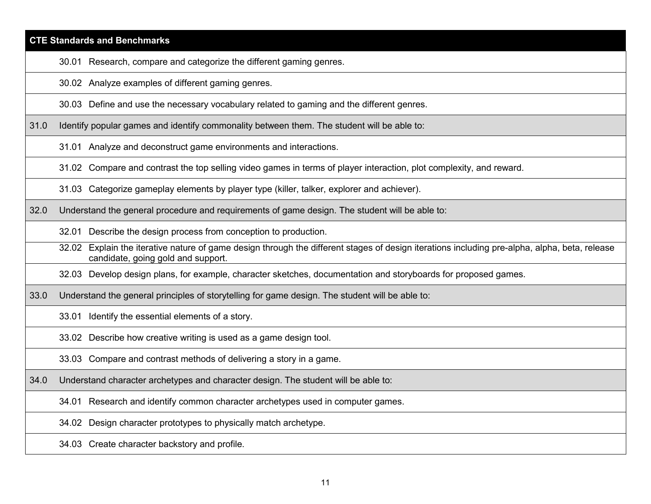# **CTE Standards and Benchmarks** 30.01 Research, compare and categorize the different gaming genres. 30.02 Analyze examples of different gaming genres. 30.03 Define and use the necessary vocabulary related to gaming and the different genres. 31.0 Identify popular games and identify commonality between them. The student will be able to: 31.01 Analyze and deconstruct game environments and interactions. 31.02 Compare and contrast the top selling video games in terms of player interaction, plot complexity, and reward. 31.03 Categorize gameplay elements by player type (killer, talker, explorer and achiever). 32.0 Understand the general procedure and requirements of game design. The student will be able to: 32.01 Describe the design process from conception to production. 32.02 Explain the iterative nature of game design through the different stages of design iterations including pre-alpha, alpha, beta, release candidate, going gold and support. 32.03 Develop design plans, for example, character sketches, documentation and storyboards for proposed games. 33.0 Understand the general principles of storytelling for game design. The student will be able to: 33.01 Identify the essential elements of a story.

33.02 Describe how creative writing is used as a game design tool.

33.03 Compare and contrast methods of delivering a story in a game.

34.0 Understand character archetypes and character design. The student will be able to:

34.01 Research and identify common character archetypes used in computer games.

34.02 Design character prototypes to physically match archetype.

34.03 Create character backstory and profile.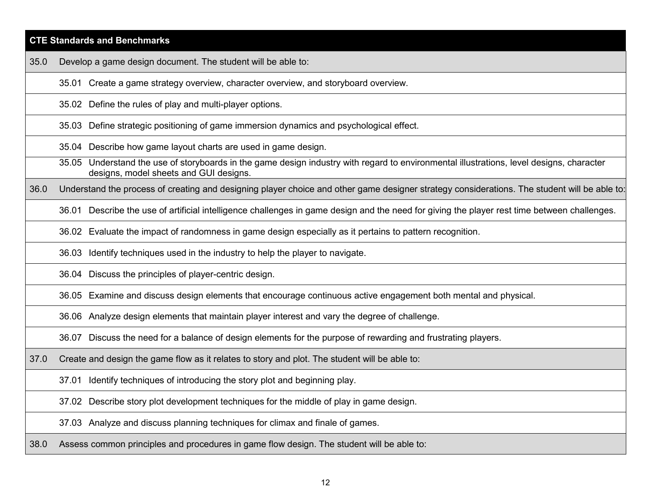|      | <b>CTE Standards and Benchmarks</b>                                                                                                                                                |
|------|------------------------------------------------------------------------------------------------------------------------------------------------------------------------------------|
| 35.0 | Develop a game design document. The student will be able to:                                                                                                                       |
|      | 35.01 Create a game strategy overview, character overview, and storyboard overview.                                                                                                |
|      | 35.02 Define the rules of play and multi-player options.                                                                                                                           |
|      | 35.03 Define strategic positioning of game immersion dynamics and psychological effect.                                                                                            |
|      | 35.04 Describe how game layout charts are used in game design.                                                                                                                     |
|      | 35.05 Understand the use of storyboards in the game design industry with regard to environmental illustrations, level designs, character<br>designs, model sheets and GUI designs. |
| 36.0 | Understand the process of creating and designing player choice and other game designer strategy considerations. The student will be able to:                                       |
|      | 36.01 Describe the use of artificial intelligence challenges in game design and the need for giving the player rest time between challenges.                                       |
|      | 36.02 Evaluate the impact of randomness in game design especially as it pertains to pattern recognition.                                                                           |
|      | 36.03 Identify techniques used in the industry to help the player to navigate.                                                                                                     |
|      | 36.04 Discuss the principles of player-centric design.                                                                                                                             |
|      | 36.05 Examine and discuss design elements that encourage continuous active engagement both mental and physical.                                                                    |
|      | 36.06 Analyze design elements that maintain player interest and vary the degree of challenge.                                                                                      |
|      | 36.07 Discuss the need for a balance of design elements for the purpose of rewarding and frustrating players.                                                                      |
| 37.0 | Create and design the game flow as it relates to story and plot. The student will be able to:                                                                                      |
|      | Identify techniques of introducing the story plot and beginning play.<br>37.01                                                                                                     |
|      | 37.02 Describe story plot development techniques for the middle of play in game design.                                                                                            |
|      | 37.03 Analyze and discuss planning techniques for climax and finale of games.                                                                                                      |
|      | the contract of the contract of the contract of the contract of the contract of the contract of the contract of                                                                    |

38.0 Assess common principles and procedures in game flow design. The student will be able to: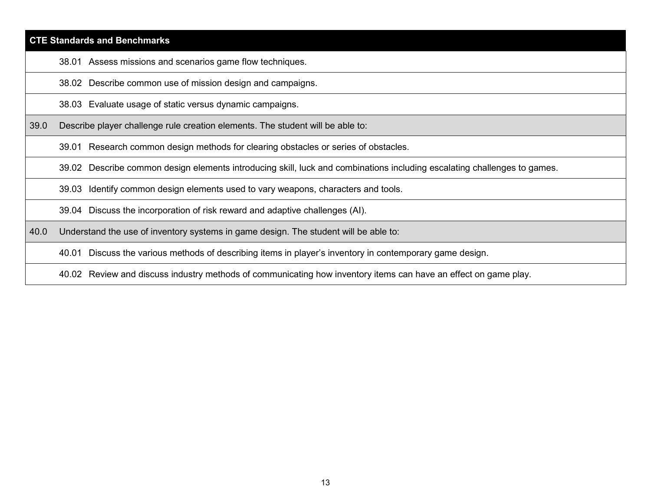# **CTE Standards and Benchmarks** 38.01 Assess missions and scenarios game flow techniques. 38.02 Describe common use of mission design and campaigns. 38.03 Evaluate usage of static versus dynamic campaigns. 39.0 Describe player challenge rule creation elements. The student will be able to: 39.01 Research common design methods for clearing obstacles or series of obstacles. 39.02 Describe common design elements introducing skill, luck and combinations including escalating challenges to games. 39.03 Identify common design elements used to vary weapons, characters and tools. 39.04 Discuss the incorporation of risk reward and adaptive challenges (AI). 40.0 Understand the use of inventory systems in game design. The student will be able to: 40.01 Discuss the various methods of describing items in player's inventory in contemporary game design. 40.02 Review and discuss industry methods of communicating how inventory items can have an effect on game play.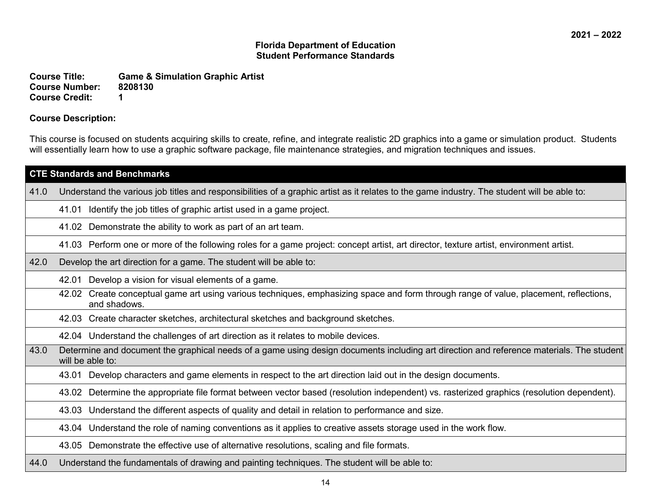**Course Title: Game & Simulation Graphic Artist Course Number:** 82<br>Course Credit: 1 **Course Credit: 1**

### **Course Description:**

This course is focused on students acquiring skills to create, refine, and integrate realistic 2D graphics into a game or simulation product. Students will essentially learn how to use a graphic software package, file maintenance strategies, and migration techniques and issues.

|      | <b>CTE Standards and Benchmarks</b>                                                                                                                          |
|------|--------------------------------------------------------------------------------------------------------------------------------------------------------------|
| 41.0 | Understand the various job titles and responsibilities of a graphic artist as it relates to the game industry. The student will be able to:                  |
|      | Identify the job titles of graphic artist used in a game project.<br>41.01                                                                                   |
|      | Demonstrate the ability to work as part of an art team.<br>41.02                                                                                             |
|      | 41.03 Perform one or more of the following roles for a game project: concept artist, art director, texture artist, environment artist.                       |
| 42.0 | Develop the art direction for a game. The student will be able to:                                                                                           |
|      | Develop a vision for visual elements of a game.<br>42.01                                                                                                     |
|      | Create conceptual game art using various techniques, emphasizing space and form through range of value, placement, reflections,<br>42.02<br>and shadows.     |
|      | 42.03 Create character sketches, architectural sketches and background sketches.                                                                             |
|      | 42.04 Understand the challenges of art direction as it relates to mobile devices.                                                                            |
| 43.0 | Determine and document the graphical needs of a game using design documents including art direction and reference materials. The student<br>will be able to: |
|      | Develop characters and game elements in respect to the art direction laid out in the design documents.<br>43.01                                              |
|      | Determine the appropriate file format between vector based (resolution independent) vs. rasterized graphics (resolution dependent).<br>43.02                 |
|      | Understand the different aspects of quality and detail in relation to performance and size.<br>43.03                                                         |
|      | 43.04 Understand the role of naming conventions as it applies to creative assets storage used in the work flow.                                              |
|      | 43.05 Demonstrate the effective use of alternative resolutions, scaling and file formats.                                                                    |
| 44.0 | Understand the fundamentals of drawing and painting techniques. The student will be able to:                                                                 |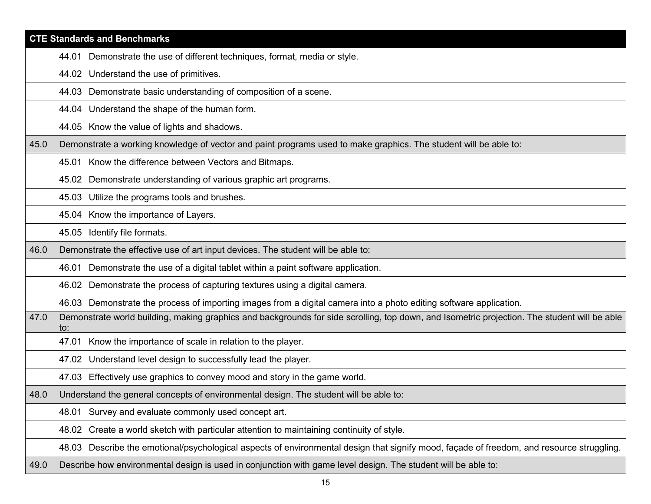|      | <b>CTE Standards and Benchmarks</b>                                                                                                                 |
|------|-----------------------------------------------------------------------------------------------------------------------------------------------------|
|      | 44.01 Demonstrate the use of different techniques, format, media or style.                                                                          |
|      | 44.02 Understand the use of primitives.                                                                                                             |
|      | 44.03 Demonstrate basic understanding of composition of a scene.                                                                                    |
|      | 44.04 Understand the shape of the human form.                                                                                                       |
|      | 44.05 Know the value of lights and shadows.                                                                                                         |
| 45.0 | Demonstrate a working knowledge of vector and paint programs used to make graphics. The student will be able to:                                    |
|      | 45.01 Know the difference between Vectors and Bitmaps.                                                                                              |
|      | 45.02 Demonstrate understanding of various graphic art programs.                                                                                    |
|      | 45.03 Utilize the programs tools and brushes.                                                                                                       |
|      | 45.04 Know the importance of Layers.                                                                                                                |
|      | 45.05 Identify file formats.                                                                                                                        |
| 46.0 | Demonstrate the effective use of art input devices. The student will be able to:                                                                    |
|      | 46.01 Demonstrate the use of a digital tablet within a paint software application.                                                                  |
|      | 46.02 Demonstrate the process of capturing textures using a digital camera.                                                                         |
|      | 46.03 Demonstrate the process of importing images from a digital camera into a photo editing software application.                                  |
| 47.0 | Demonstrate world building, making graphics and backgrounds for side scrolling, top down, and Isometric projection. The student will be able<br>to: |
|      | 47.01 Know the importance of scale in relation to the player.                                                                                       |
|      | 47.02 Understand level design to successfully lead the player.                                                                                      |
|      | 47.03 Effectively use graphics to convey mood and story in the game world.                                                                          |
| 48.0 | Understand the general concepts of environmental design. The student will be able to:                                                               |
|      | 48.01 Survey and evaluate commonly used concept art.                                                                                                |
|      | 48.02 Create a world sketch with particular attention to maintaining continuity of style.                                                           |
|      | 48.03 Describe the emotional/psychological aspects of environmental design that signify mood, façade of freedom, and resource struggling.           |
| 49.0 | Describe how environmental design is used in conjunction with game level design. The student will be able to:                                       |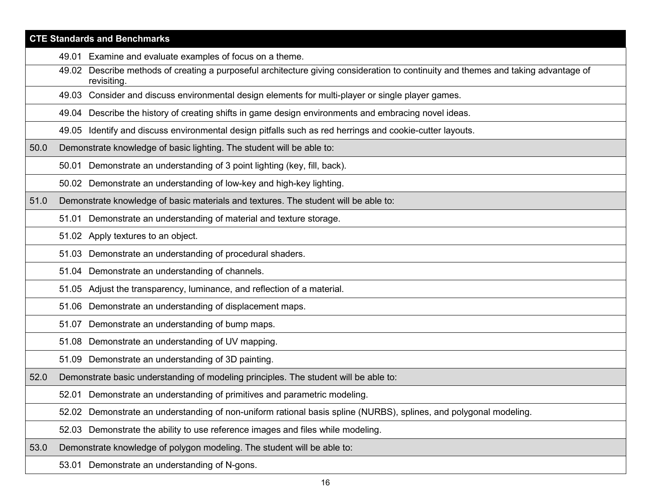|      | <b>CTE Standards and Benchmarks</b>                                                                                                               |
|------|---------------------------------------------------------------------------------------------------------------------------------------------------|
|      | 49.01 Examine and evaluate examples of focus on a theme.                                                                                          |
|      | 49.02 Describe methods of creating a purposeful architecture giving consideration to continuity and themes and taking advantage of<br>revisiting. |
|      | 49.03 Consider and discuss environmental design elements for multi-player or single player games.                                                 |
|      | 49.04 Describe the history of creating shifts in game design environments and embracing novel ideas.                                              |
|      | 49.05 Identify and discuss environmental design pitfalls such as red herrings and cookie-cutter layouts.                                          |
| 50.0 | Demonstrate knowledge of basic lighting. The student will be able to:                                                                             |
|      | 50.01 Demonstrate an understanding of 3 point lighting (key, fill, back).                                                                         |
|      | 50.02 Demonstrate an understanding of low-key and high-key lighting.                                                                              |
| 51.0 | Demonstrate knowledge of basic materials and textures. The student will be able to:                                                               |
|      | Demonstrate an understanding of material and texture storage.<br>51.01                                                                            |
|      | 51.02 Apply textures to an object.                                                                                                                |
|      | 51.03 Demonstrate an understanding of procedural shaders.                                                                                         |
|      | 51.04 Demonstrate an understanding of channels.                                                                                                   |
|      | 51.05 Adjust the transparency, luminance, and reflection of a material.                                                                           |
|      | 51.06 Demonstrate an understanding of displacement maps.                                                                                          |
|      | 51.07 Demonstrate an understanding of bump maps.                                                                                                  |
|      | 51.08 Demonstrate an understanding of UV mapping.                                                                                                 |
|      | 51.09 Demonstrate an understanding of 3D painting.                                                                                                |
| 52.0 | Demonstrate basic understanding of modeling principles. The student will be able to:                                                              |
|      | 52.01 Demonstrate an understanding of primitives and parametric modeling.                                                                         |
|      | 52.02 Demonstrate an understanding of non-uniform rational basis spline (NURBS), splines, and polygonal modeling.                                 |
|      | 52.03 Demonstrate the ability to use reference images and files while modeling.                                                                   |
| 53.0 | Demonstrate knowledge of polygon modeling. The student will be able to:                                                                           |
|      | 53.01 Demonstrate an understanding of N-gons.                                                                                                     |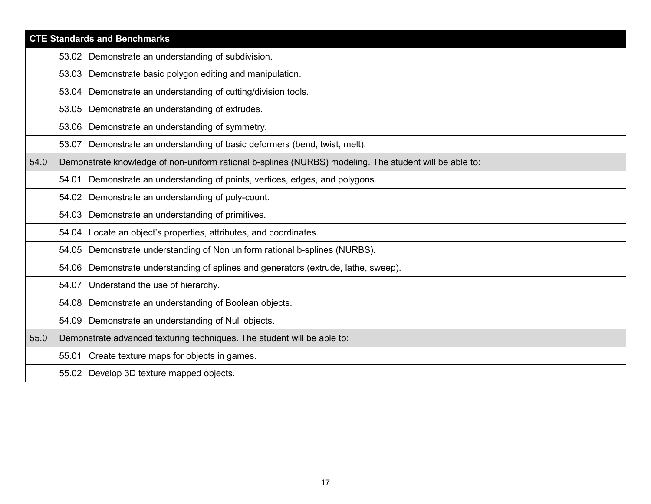|      | <b>CTE Standards and Benchmarks</b>                                                                    |
|------|--------------------------------------------------------------------------------------------------------|
|      | 53.02 Demonstrate an understanding of subdivision.                                                     |
|      | 53.03 Demonstrate basic polygon editing and manipulation.                                              |
|      | 53.04 Demonstrate an understanding of cutting/division tools.                                          |
|      | 53.05 Demonstrate an understanding of extrudes.                                                        |
|      | 53.06 Demonstrate an understanding of symmetry.                                                        |
|      | 53.07 Demonstrate an understanding of basic deformers (bend, twist, melt).                             |
| 54.0 | Demonstrate knowledge of non-uniform rational b-splines (NURBS) modeling. The student will be able to: |
|      | 54.01 Demonstrate an understanding of points, vertices, edges, and polygons.                           |
|      | 54.02 Demonstrate an understanding of poly-count.                                                      |
|      | 54.03 Demonstrate an understanding of primitives.                                                      |
|      | 54.04 Locate an object's properties, attributes, and coordinates.                                      |
|      | 54.05 Demonstrate understanding of Non uniform rational b-splines (NURBS).                             |
|      | 54.06 Demonstrate understanding of splines and generators (extrude, lathe, sweep).                     |
|      | 54.07 Understand the use of hierarchy.                                                                 |
|      | 54.08 Demonstrate an understanding of Boolean objects.                                                 |
|      | 54.09 Demonstrate an understanding of Null objects.                                                    |
| 55.0 | Demonstrate advanced texturing techniques. The student will be able to:                                |
|      | 55.01 Create texture maps for objects in games.                                                        |
|      | 55.02 Develop 3D texture mapped objects.                                                               |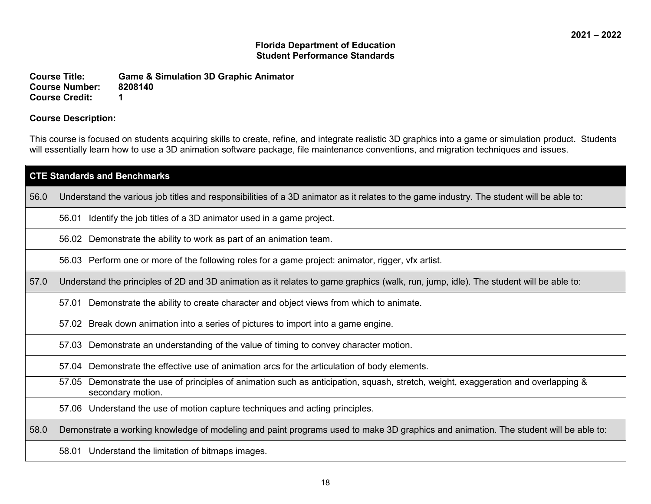**Course Title: Game & Simulation 3D Graphic Animator Course Number: 82<br>Course Credit: 1 Course Credit: 1**

### **Course Description:**

This course is focused on students acquiring skills to create, refine, and integrate realistic 3D graphics into a game or simulation product. Students will essentially learn how to use a 3D animation software package, file maintenance conventions, and migration techniques and issues.

| <b>CTE Standards and Benchmarks</b> |                                                                                                                                                            |  |
|-------------------------------------|------------------------------------------------------------------------------------------------------------------------------------------------------------|--|
| 56.0                                | Understand the various job titles and responsibilities of a 3D animator as it relates to the game industry. The student will be able to:                   |  |
|                                     | Identify the job titles of a 3D animator used in a game project.<br>56.01                                                                                  |  |
|                                     | 56.02 Demonstrate the ability to work as part of an animation team.                                                                                        |  |
|                                     | 56.03 Perform one or more of the following roles for a game project: animator, rigger, vfx artist.                                                         |  |
| 57.0                                | Understand the principles of 2D and 3D animation as it relates to game graphics (walk, run, jump, idle). The student will be able to:                      |  |
|                                     | Demonstrate the ability to create character and object views from which to animate.<br>57.01                                                               |  |
|                                     | Break down animation into a series of pictures to import into a game engine.<br>57.02                                                                      |  |
|                                     | Demonstrate an understanding of the value of timing to convey character motion.<br>57.03                                                                   |  |
|                                     | Demonstrate the effective use of animation arcs for the articulation of body elements.<br>57.04                                                            |  |
|                                     | Demonstrate the use of principles of animation such as anticipation, squash, stretch, weight, exaggeration and overlapping &<br>57.05<br>secondary motion. |  |
|                                     | 57.06 Understand the use of motion capture techniques and acting principles.                                                                               |  |
| 58.0                                | Demonstrate a working knowledge of modeling and paint programs used to make 3D graphics and animation. The student will be able to:                        |  |
|                                     | 58.01 Understand the limitation of bitmaps images.                                                                                                         |  |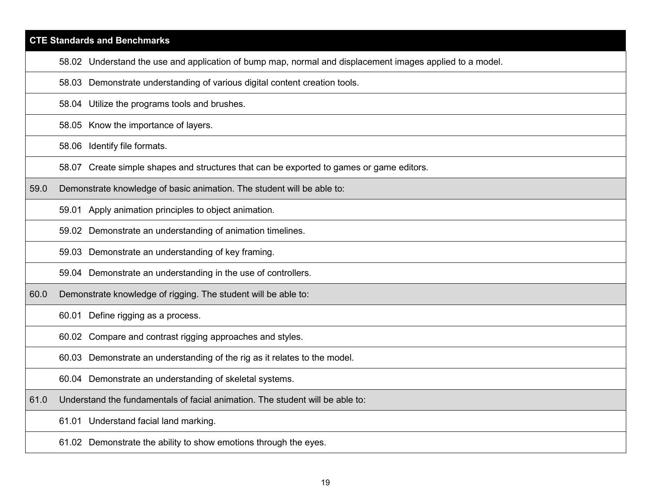| <b>CTE Standards and Benchmarks</b> |                                                                                                          |  |
|-------------------------------------|----------------------------------------------------------------------------------------------------------|--|
|                                     | 58.02 Understand the use and application of bump map, normal and displacement images applied to a model. |  |
|                                     | 58.03 Demonstrate understanding of various digital content creation tools.                               |  |
|                                     | 58.04 Utilize the programs tools and brushes.                                                            |  |
|                                     | 58.05 Know the importance of layers.                                                                     |  |
|                                     | 58.06 Identify file formats.                                                                             |  |
|                                     | 58.07 Create simple shapes and structures that can be exported to games or game editors.                 |  |
| 59.0                                | Demonstrate knowledge of basic animation. The student will be able to:                                   |  |
|                                     | 59.01 Apply animation principles to object animation.                                                    |  |
|                                     | 59.02 Demonstrate an understanding of animation timelines.                                               |  |
|                                     | 59.03 Demonstrate an understanding of key framing.                                                       |  |
|                                     | 59.04 Demonstrate an understanding in the use of controllers.                                            |  |
| 60.0                                | Demonstrate knowledge of rigging. The student will be able to:                                           |  |
|                                     | 60.01 Define rigging as a process.                                                                       |  |
|                                     | 60.02 Compare and contrast rigging approaches and styles.                                                |  |
|                                     | 60.03 Demonstrate an understanding of the rig as it relates to the model.                                |  |
|                                     | 60.04 Demonstrate an understanding of skeletal systems.                                                  |  |
| 61.0                                | Understand the fundamentals of facial animation. The student will be able to:                            |  |
|                                     | 61.01 Understand facial land marking.                                                                    |  |
|                                     | 61.02 Demonstrate the ability to show emotions through the eyes.                                         |  |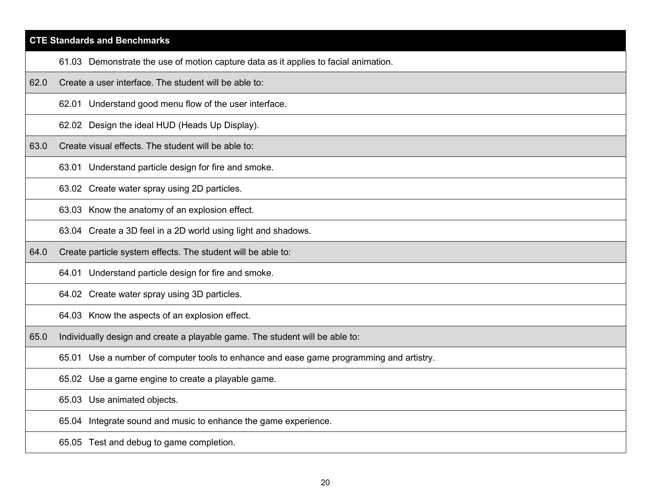# **CTE Standards and Benchmarks** 61.03 Demonstrate the use of motion capture data as it applies to facial animation. 62.0 Create a user interface. The student will be able to: 62.01 Understand good menu flow of the user interface. 62.02 Design the ideal HUD (Heads Up Display). 63.0 Create visual effects. The student will be able to: 63.01 Understand particle design for fire and smoke. 63.02 Create water spray using 2D particles. 63.03 Know the anatomy of an explosion effect. 63.04 Create a 3D feel in a 2D world using light and shadows. 64.0 Create particle system effects. The student will be able to: 64.01 Understand particle design for fire and smoke. 64.02 Create water spray using 3D particles. 64.03 Know the aspects of an explosion effect. 65.0 Individually design and create a playable game. The student will be able to: 65.01 Use a number of computer tools to enhance and ease game programming and artistry. 65.02 Use a game engine to create a playable game. 65.03 Use animated objects. 65.04 Integrate sound and music to enhance the game experience. 65.05 Test and debug to game completion.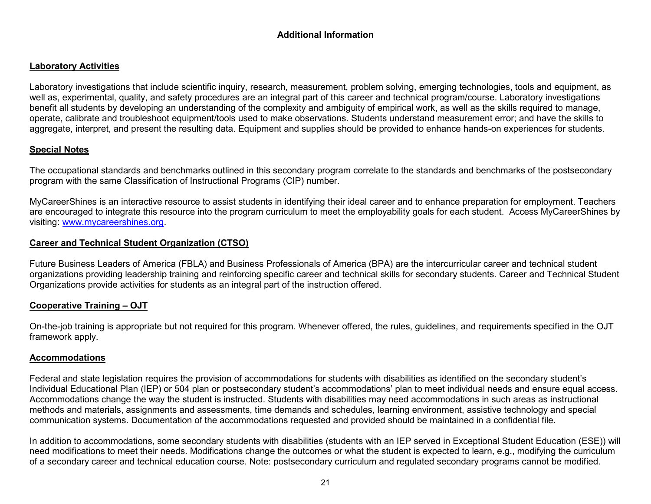# **Additional Information**

# **Laboratory Activities**

Laboratory investigations that include scientific inquiry, research, measurement, problem solving, emerging technologies, tools and equipment, as well as, experimental, quality, and safety procedures are an integral part of this career and technical program/course. Laboratory investigations benefit all students by developing an understanding of the complexity and ambiguity of empirical work, as well as the skills required to manage, operate, calibrate and troubleshoot equipment/tools used to make observations. Students understand measurement error; and have the skills to aggregate, interpret, and present the resulting data. Equipment and supplies should be provided to enhance hands-on experiences for students.

# **Special Notes**

The occupational standards and benchmarks outlined in this secondary program correlate to the standards and benchmarks of the postsecondary program with the same Classification of Instructional Programs (CIP) number.

MyCareerShines is an interactive resource to assist students in identifying their ideal career and to enhance preparation for employment. Teachers are encouraged to integrate this resource into the program curriculum to meet the employability goals for each student. Access MyCareerShines by visiting: [www.mycareershines.org.](http://www.mycareershines.org/)

# **Career and Technical Student Organization (CTSO)**

Future Business Leaders of America (FBLA) and Business Professionals of America (BPA) are the intercurricular career and technical student organizations providing leadership training and reinforcing specific career and technical skills for secondary students. Career and Technical Student Organizations provide activities for students as an integral part of the instruction offered.

# **Cooperative Training – OJT**

On-the-job training is appropriate but not required for this program. Whenever offered, the rules, guidelines, and requirements specified in the OJT framework apply.

# **Accommodations**

Federal and state legislation requires the provision of accommodations for students with disabilities as identified on the secondary student's Individual Educational Plan (IEP) or 504 plan or postsecondary student's accommodations' plan to meet individual needs and ensure equal access. Accommodations change the way the student is instructed. Students with disabilities may need accommodations in such areas as instructional methods and materials, assignments and assessments, time demands and schedules, learning environment, assistive technology and special communication systems. Documentation of the accommodations requested and provided should be maintained in a confidential file.

In addition to accommodations, some secondary students with disabilities (students with an IEP served in Exceptional Student Education (ESE)) will need modifications to meet their needs. Modifications change the outcomes or what the student is expected to learn, e.g., modifying the curriculum of a secondary career and technical education course. Note: postsecondary curriculum and regulated secondary programs cannot be modified.